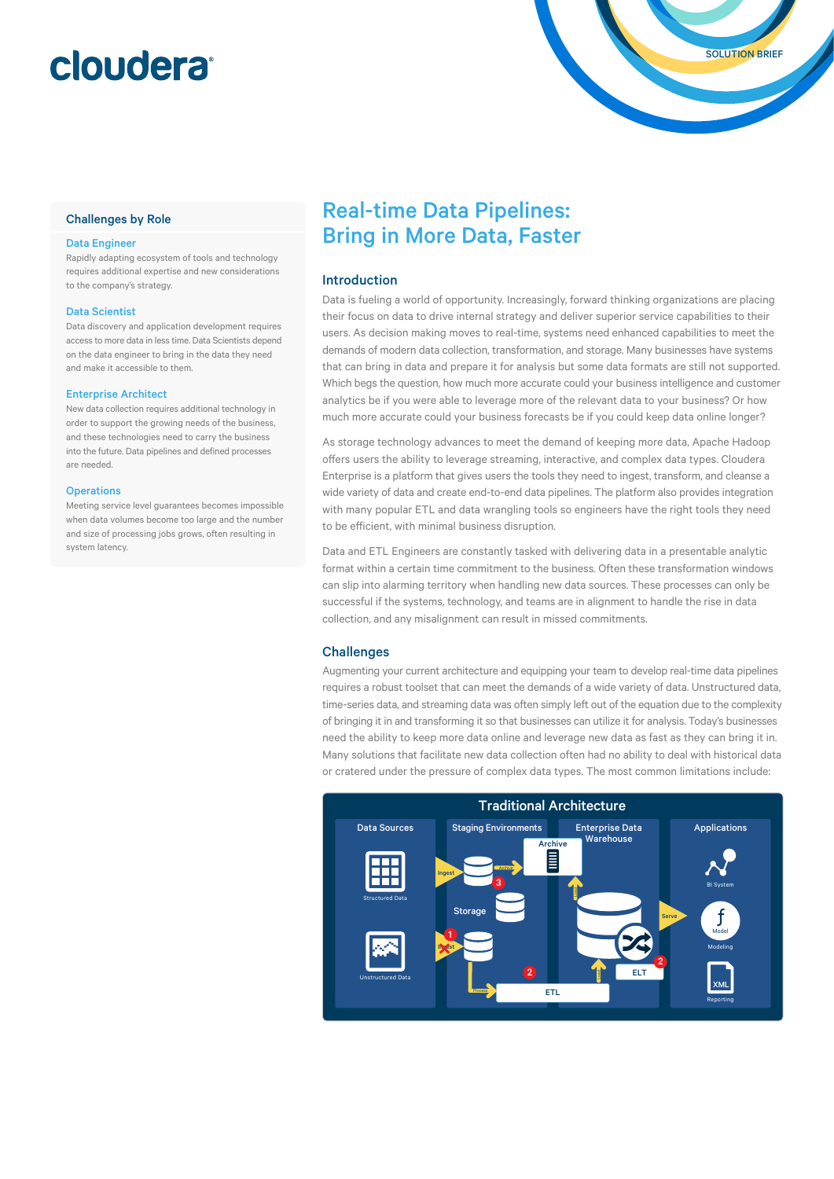# cloudera®

#### Challenges by Role

#### Data Engineer

Rapidly adapting ecosystem of tools and technology requires additional expertise and new considerations to the company's strategy.

#### Data Scientist

Data discovery and application development requires access to more data in less time. Data Scientists depend on the data engineer to bring in the data they need and make it accessible to them.

#### Enterprise Architect

New data collection requires additional technology in order to support the growing needs of the business, and these technologies need to carry the business into the future. Data pipelines and defined processes are needed.

#### **Operations**

Meeting service level guarantees becomes impossible when data volumes become too large and the number and size of processing jobs grows, often resulting in system latency.

### Real-time Data Pipelines: Bring in More Data, Faster

#### Introduction

Data is fueling a world of opportunity. Increasingly, forward thinking organizations are placing their focus on data to drive internal strategy and deliver superior service capabilities to their users. As decision making moves to real-time, systems need enhanced capabilities to meet the demands of modern data collection, transformation, and storage. Many businesses have systems that can bring in data and prepare it for analysis but some data formats are still not supported. Which begs the question, how much more accurate could your business intelligence and customer analytics be if you were able to leverage more of the relevant data to your business? Or how much more accurate could your business forecasts be if you could keep data online longer?

As storage technology advances to meet the demand of keeping more data, Apache Hadoop offers users the ability to leverage streaming, interactive, and complex data types. Cloudera Enterprise is a platform that gives users the tools they need to ingest, transform, and cleanse a wide variety of data and create end-to-end data pipelines. The platform also provides integration with many popular ETL and data wrangling tools so engineers have the right tools they need to be efficient, with minimal business disruption.

Data and ETL Engineers are constantly tasked with delivering data in a presentable analytic format within a certain time commitment to the business. Often these transformation windows can slip into alarming territory when handling new data sources. These processes can only be successful if the systems, technology, and teams are in alignment to handle the rise in data collection, and any misalignment can result in missed commitments.

#### **Challenges**

Augmenting your current architecture and equipping your team to develop real-time data pipelines requires a robust toolset that can meet the demands of a wide variety of data. Unstructured data, time-series data, and streaming data was often simply left out of the equation due to the complexity of bringing it in and transforming it so that businesses can utilize it for analysis. Today's businesses need the ability to keep more data online and leverage new data as fast as they can bring it in. Many solutions that facilitate new data collection often had no ability to deal with historical data or cratered under the pressure of complex data types. The most common limitations include:

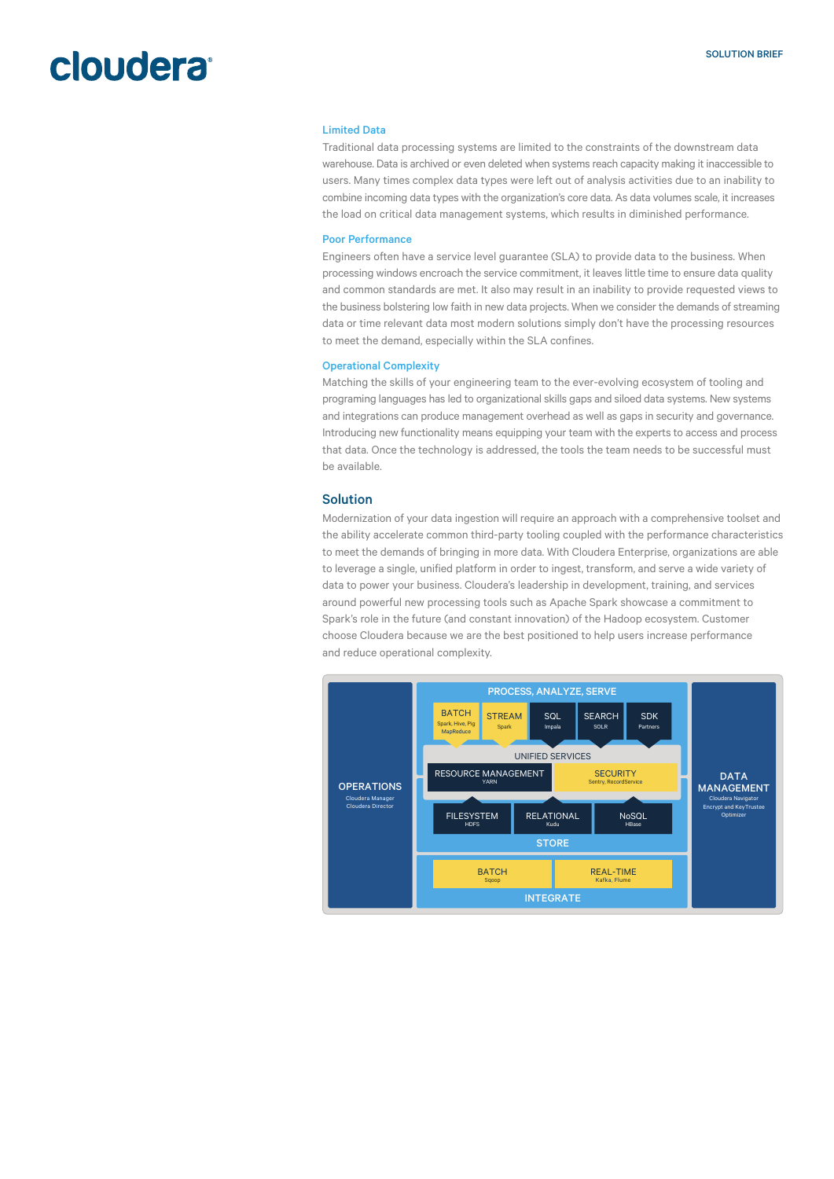## **cloudera**

#### Limited Data

Traditional data processing systems are limited to the constraints of the downstream data warehouse. Data is archived or even deleted when systems reach capacity making it inaccessible to users. Many times complex data types were left out of analysis activities due to an inability to combine incoming data types with the organization's core data. As data volumes scale, it increases the load on critical data management systems, which results in diminished performance.

#### Poor Performance

Engineers often have a service level guarantee (SLA) to provide data to the business. When processing windows encroach the service commitment, it leaves little time to ensure data quality and common standards are met. It also may result in an inability to provide requested views to the business bolstering low faith in new data projects. When we consider the demands of streaming data or time relevant data most modern solutions simply don't have the processing resources to meet the demand, especially within the SLA confines.

#### Operational Complexity

Matching the skills of your engineering team to the ever-evolving ecosystem of tooling and programing languages has led to organizational skills gaps and siloed data systems. New systems and integrations can produce management overhead as well as gaps in security and governance. Introducing new functionality means equipping your team with the experts to access and process that data. Once the technology is addressed, the tools the team needs to be successful must be available.

#### Solution

Modernization of your data ingestion will require an approach with a comprehensive toolset and the ability accelerate common third-party tooling coupled with the performance characteristics to meet the demands of bringing in more data. With Cloudera Enterprise, organizations are able to leverage a single, unified platform in order to ingest, transform, and serve a wide variety of data to power your business. Cloudera's leadership in development, training, and services around powerful new processing tools such as Apache Spark showcase a commitment to Spark's role in the future (and constant innovation) of the Hadoop ecosystem. Customer choose Cloudera because we are the best positioned to help users increase performance and reduce operational complexity.

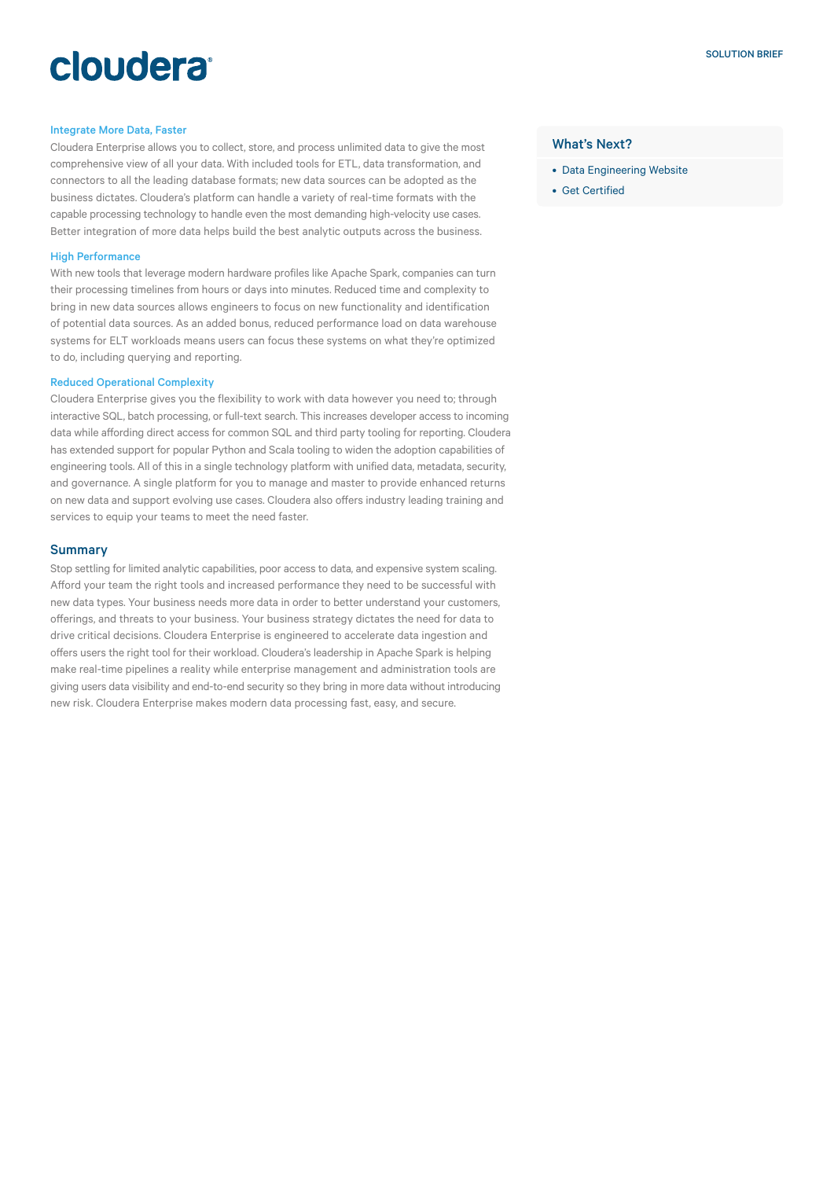# cloudera®

#### Integrate More Data, Faster

Cloudera Enterprise allows you to collect, store, and process unlimited data to give the most comprehensive view of all your data. With included tools for ETL, data transformation, and connectors to all the leading database formats; new data sources can be adopted as the business dictates. Cloudera's platform can handle a variety of real-time formats with the capable processing technology to handle even the most demanding high-velocity use cases. Better integration of more data helps build the best analytic outputs across the business.

#### High Performance

With new tools that leverage modern hardware profiles like Apache Spark, companies can turn their processing timelines from hours or days into minutes. Reduced time and complexity to bring in new data sources allows engineers to focus on new functionality and identification of potential data sources. As an added bonus, reduced performance load on data warehouse systems for ELT workloads means users can focus these systems on what they're optimized to do, including querying and reporting.

#### Reduced Operational Complexity

Cloudera Enterprise gives you the flexibility to work with data however you need to; through interactive SQL, batch processing, or full-text search. This increases developer access to incoming data while affording direct access for common SQL and third party tooling for reporting. Cloudera has extended support for popular Python and Scala tooling to widen the adoption capabilities of engineering tools. All of this in a single technology platform with unified data, metadata, security, and governance. A single platform for you to manage and master to provide enhanced returns on new data and support evolving use cases. Cloudera also offers industry leading training and services to equip your teams to meet the need faster.

#### **Summary**

Stop settling for limited analytic capabilities, poor access to data, and expensive system scaling. Afford your team the right tools and increased performance they need to be successful with new data types. Your business needs more data in order to better understand your customers, offerings, and threats to your business. Your business strategy dictates the need for data to drive critical decisions. Cloudera Enterprise is engineered to accelerate data ingestion and offers users the right tool for their workload. Cloudera's leadership in Apache Spark is helping make real-time pipelines a reality while enterprise management and administration tools are giving users data visibility and end-to-end security so they bring in more data without introducing new risk. Cloudera Enterprise makes modern data processing fast, easy, and secure.

#### What's Next?

- [Data Engineering Website](http://www.cloudera.com/solutions/data-engineering-platform.html)
- [Get Certified](https://www.cloudera.com/training/certification/ccp-data-engineer.html)